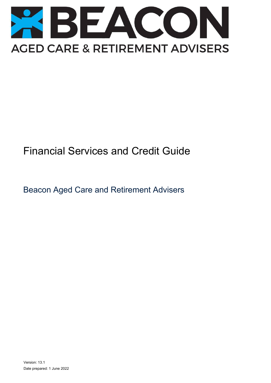

# Financial Services and Credit Guide

Beacon Aged Care and Retirement Advisers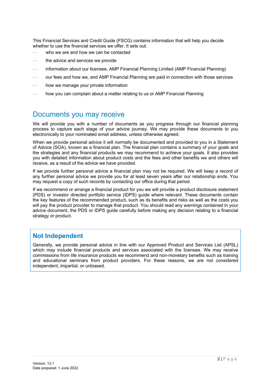This Financial Services and Credit Guide (FSCG) contains information that will help you decide whether to use the financial services we offer. It sets out:

- who we are and how we can be contacted
- the advice and services we provide
- information about our licensee, AMP Financial Planning Limited (AMP Financial Planning)
- our fees and how we, and AMP Financial Planning are paid in connection with those services
- how we manage your private information
- how you can complain about a matter relating to us or AMP Financial Planning

## Documents you may receive

We will provide you with a number of documents as you progress through our financial planning process to capture each stage of your advice journey. We may provide these documents to you electronically to your nominated email address, unless otherwise agreed.

When we provide personal advice it will normally be documented and provided to you in a Statement of Advice (SOA), known as a financial plan. The financial plan contains a summary of your goals and the strategies and any financial products we may recommend to achieve your goals. It also provides you with detailed information about product costs and the fees and other benefits we and others will receive, as a result of the advice we have provided.

If we provide further personal advice a financial plan may not be required. We will keep a record of any further personal advice we provide you for at least seven years after our relationship ends. You may request a copy of such records by contacting our office during that period.

If we recommend or arrange a financial product for you we will provide a product disclosure statement (PDS) or investor directed portfolio service (IDPS) guide where relevant. These documents contain the key features of the recommended product, such as its benefits and risks as well as the costs you will pay the product provider to manage that product. You should read any warnings contained in your advice document, the PDS or IDPS guide carefully before making any decision relating to a financial strategy or product.

#### **Not Independent**

Generally, we provide personal advice in line with our Approved Product and Services List (APSL) which may include financial products and services associated with the licensee. We may receive commissions from life insurance products we recommend and non-monetary benefits such as training and educational seminars from product providers. For these reasons, we are not considered independent, impartial, or unbiased.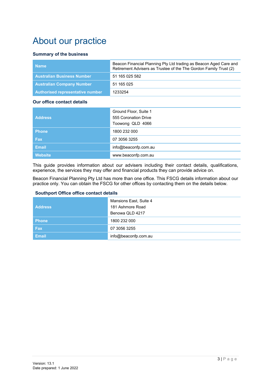# About our practice

#### **Summary of the business**

| <b>Name</b>                       | Beacon Financial Planning Pty Ltd trading as Beacon Aged Care and<br>Retirement Advisers as Trustee of the The Gordon Family Trust (2) |
|-----------------------------------|----------------------------------------------------------------------------------------------------------------------------------------|
| <b>Australian Business Number</b> | 51 165 025 582                                                                                                                         |
| <b>Australian Company Number</b>  | 51 165 025                                                                                                                             |
| Authorised representative number  | 1233254                                                                                                                                |

#### **Our office contact details**

| <b>Address</b> | Ground Floor, Suite 1<br>555 Coronation Drive<br>Toowong QLD 4066 |
|----------------|-------------------------------------------------------------------|
| <b>Phone</b>   | 1800 232 000                                                      |
| <b>Fax</b>     | 07 3056 3255                                                      |
| <b>Email</b>   | info@beaconfp.com.au                                              |
| <b>Website</b> | www.beaconfp.com.au                                               |

This guide provides information about our advisers including their contact details, qualifications, experience, the services they may offer and financial products they can provide advice on.

Beacon Financial Planning Pty Ltd has more than one office. This FSCG details information about our practice only. You can obtain the FSCG for other offices by contacting them on the details below.

#### **Southport Office office contact details**

| <b>Address</b> | Mansions East, Suite 4<br>181 Ashmore Road<br>Benowa QLD 4217 |
|----------------|---------------------------------------------------------------|
| <b>Phone</b>   | 1800 232 000                                                  |
| <b>Fax</b>     | 07 3056 3255                                                  |
| <b>Email</b>   | info@beaconfp.com.au                                          |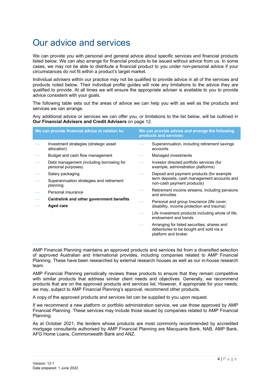# Our advice and services

We can provide you with personal and general advice about specific services and financial products listed below. We can also arrange for financial products to be issued without advice from us. In some cases, we may not be able to distribute a financial product to you under non-personal advice if your circumstances do not fit within a product's target market.

Individual advisers within our practice may not be qualified to provide advice in all of the services and products noted below. Their individual profile guides will note any limitations to the advice they are qualified to provide. At all times we will ensure the appropriate adviser is available to you to provide advice consistent with your goals.

The following table sets out the areas of advice we can help you with as well as the products and services we can arrange.

Any additional advice or services we can offer you, or limitations to the list below, will be outlined in **Our Financial Advisers and Credit Advisers** on page [12.](#page-11-0)

|           | We can provide financial advice in relation to:                |                                           | We can provide advice and arrange the following<br>products and services:                                    |
|-----------|----------------------------------------------------------------|-------------------------------------------|--------------------------------------------------------------------------------------------------------------|
|           | Investment strategies (strategic asset<br>allocation)          |                                           | Superannuation, including retirement savings<br>accounts                                                     |
|           | Budget and cash flow management                                |                                           | Managed investments                                                                                          |
|           | Debt management (including borrowing for<br>personal purposes) |                                           | Investor directed portfolio services (for<br>example, administration platforms)                              |
|           | Salary packaging                                               |                                           | Deposit and payment products (for example                                                                    |
|           | Superannuation strategies and retirement<br>planning           | non-cash payment products)                | term deposits, cash management accounts and                                                                  |
|           | Personal insurance                                             |                                           | Retirement income streams, including pensions<br>and annuities                                               |
|           | Centrelink and other government benefits                       |                                           | Personal and group Insurance (life cover,                                                                    |
| Aged care |                                                                | disability, income protection and trauma) |                                                                                                              |
|           |                                                                |                                           | Life investment products including whole of life,<br>endowment and bonds                                     |
|           |                                                                |                                           | Arranging for listed securities, shares and<br>debentures to be bought and sold via a<br>platform and broker |

AMP Financial Planning maintains an approved products and services list from a diversified selection of approved Australian and International provides, including companies related to AMP Financial Planning. These have been researched by external research houses as well as our in-house research team.

AMP Financial Planning periodically reviews these products to ensure that they remain competitive with similar products that address similar client needs and objectives. Generally, we recommend products that are on the approved products and services list. However, if appropriate for your needs, we may, subject to AMP Financial Planning's approval, recommend other products.

A copy of the approved products and services list can be supplied to you upon request.

If we recommend a new platform or portfolio administration service, we use those approved by AMP Financial Planning. These services may include those issued by companies related to AMP Financial Planning.

As at October 2021, the lenders whose products are most commonly recommended by accredited mortgage consultants authorised by AMP Financial Planning are Macquarie Bank, NAB, AMP Bank, AFG Home Loans, Commonwealth Bank and ANZ.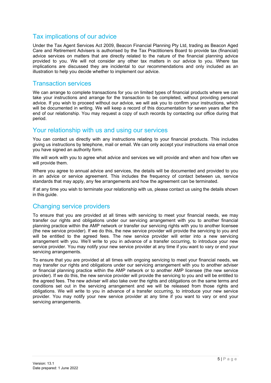### Tax implications of our advice

Under the Tax Agent Services Act 2009, Beacon Financial Planning Pty Ltd, trading as Beacon Aged Care and Retirement Advisers is authorised by the Tax Practitioners Board to provide tax (financial) advice services on matters that are directly related to the nature of the financial planning advice provided to you. We will not consider any other tax matters in our advice to you. Where tax implications are discussed they are incidental to our recommendations and only included as an illustration to help you decide whether to implement our advice.

### Transaction services

We can arrange to complete transactions for you on limited types of financial products where we can take your instructions and arrange for the transaction to be completed, without providing personal advice. If you wish to proceed without our advice, we will ask you to confirm your instructions, which will be documented in writing. We will keep a record of this documentation for seven years after the end of our relationship. You may request a copy of such records by contacting our office during that period.

#### Your relationship with us and using our services

You can contact us directly with any instructions relating to your financial products. This includes giving us instructions by telephone, mail or email. We can only accept your instructions via email once you have signed an authority form.

We will work with you to agree what advice and services we will provide and when and how often we will provide them.

Where you agree to annual advice and services, the details will be documented and provided to you in an advice or service agreement. This includes the frequency of contact between us, service standards that may apply, any fee arrangements and how the agreement can be terminated.

If at any time you wish to terminate your relationship with us, please contact us using the details shown in this guide.

### Changing service providers

To ensure that you are provided at all times with servicing to meet your financial needs, we may transfer our rights and obligations under our servicing arrangement with you to another financial planning practice within the AMP network or transfer our servicing rights with you to another licensee (the new service provider). If we do this, the new service provider will provide the servicing to you and will be entitled to the agreed fees. The new service provider will enter into a new servicing arrangement with you. We'll write to you in advance of a transfer occurring, to introduce your new service provider. You may notify your new service provider at any time if you want to vary or end your servicing arrangements.

To ensure that you are provided at all times with ongoing servicing to meet your financial needs, we may transfer our rights and obligations under our servicing arrangement with you to another adviser or financial planning practice within the AMP network or to another AMP licensee (the new service provider). If we do this, the new service provider will provide the servicing to you and will be entitled to the agreed fees. The new adviser will also take over the rights and obligations on the same terms and conditions set out in the servicing arrangement and we will be released from those rights and obligations. We will write to you in advance of a transfer occurring, to introduce your new service provider. You may notify your new service provider at any time if you want to vary or end your servicing arrangements.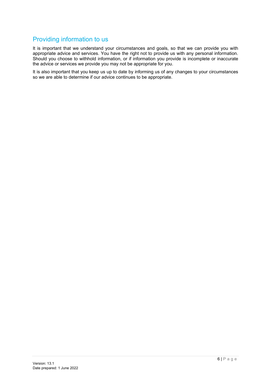## Providing information to us

It is important that we understand your circumstances and goals, so that we can provide you with appropriate advice and services. You have the right not to provide us with any personal information. Should you choose to withhold information, or if information you provide is incomplete or inaccurate the advice or services we provide you may not be appropriate for you.

It is also important that you keep us up to date by informing us of any changes to your circumstances so we are able to determine if our advice continues to be appropriate.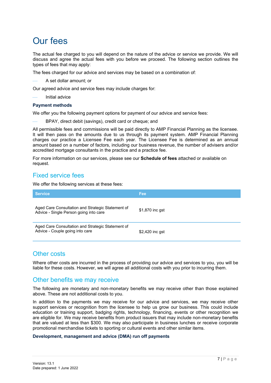# Our fees

The actual fee charged to you will depend on the nature of the advice or service we provide. We will discuss and agree the actual fees with you before we proceed. The following section outlines the types of fees that may apply:

The fees charged for our advice and services may be based on a combination of:

A set dollar amount; or

Our agreed advice and service fees may include charges for:

Initial advice

#### **Payment methods**

We offer you the following payment options for payment of our advice and service fees:

BPAY, direct debit (savings), credit card or cheque; and

All permissible fees and commissions will be paid directly to AMP Financial Planning as the licensee. It will then pass on the amounts due to us through its payment system. AMP Financial Planning charges our practice a Licensee Fee each year. The Licensee Fee is determined as an annual amount based on a number of factors, including our business revenue, the number of advisers and/or accredited mortgage consultants in the practice and a practice fee.

For more information on our services, please see our **Schedule of fees** attached or available on request.

### Fixed service fees

We offer the following services at these fees:

| <b>Service</b>                                                                              | Fee             |
|---------------------------------------------------------------------------------------------|-----------------|
| Aged Care Consultation and Strategic Statement of<br>Advice - Single Person going into care | \$1,870 inc gst |
| Aged Care Consultation and Strategic Statement of<br>Advice - Couple going into care        | \$2,420 inc gst |

#### Other costs

Where other costs are incurred in the process of providing our advice and services to you, you will be liable for these costs. However, we will agree all additional costs with you prior to incurring them.

#### Other benefits we may receive

The following are monetary and non-monetary benefits we may receive other than those explained above. These are not additional costs to you.

In addition to the payments we may receive for our advice and services, we may receive other support services or recognition from the licensee to help us grow our business. This could include education or training support, badging rights, technology, financing, events or other recognition we are eligible for. We may receive benefits from product issuers that may include non-monetary benefits that are valued at less than \$300. We may also participate in business lunches or receive corporate promotional merchandise tickets to sporting or cultural events and other similar items.

#### **Development, management and advice (DMA) run off payments**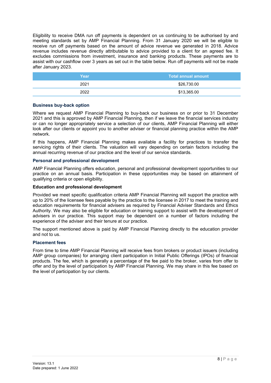Eligibility to receive DMA run off payments is dependent on us continuing to be authorised by and meeting standards set by AMP Financial Planning. From 31 January 2020 we will be eligible to receive run off payments based on the amount of advice revenue we generated in 2018. Advice revenue includes revenue directly attributable to advice provided to a client for an agreed fee. It excludes commissions from investment, insurance and banking products. These payments are to assist with our cashflow over 3 years as set out in the table below. Run off payments will not be made after January 2023.

| Year | ⊾Total annual amount <sup>।</sup> |
|------|-----------------------------------|
| 2021 | \$26,730.00                       |
| 2022 | \$13,365.00                       |

#### **Business buy-back option**

Where we request AMP Financial Planning to buy-back our business on or prior to 31 December 2021 and this is approved by AMP Financial Planning, then if we leave the financial services industry or can no longer appropriately service a selection of our clients, AMP Financial Planning will either look after our clients or appoint you to another adviser or financial planning practice within the AMP network.

If this happens, AMP Financial Planning makes available a facility for practices to transfer the servicing rights of their clients. The valuation will vary depending on certain factors including the annual recurring revenue of our practice and the level of our service standards.

#### **Personal and professional development**

AMP Financial Planning offers education, personal and professional development opportunities to our practice on an annual basis. Participation in these opportunities may be based on attainment of qualifying criteria or open eligibility.

#### **Education and professional development**

Provided we meet specific qualification criteria AMP Financial Planning will support the practice with up to 20% of the licensee fees payable by the practice to the licensee in 2017 to meet the training and education requirements for financial advisers as required by Financial Adviser Standards and Ethics Authority. We may also be eligible for education or training support to assist with the development of advisers in our practice. This support may be dependent on a number of factors including the experience of the adviser and their tenure at our practice.

The support mentioned above is paid by AMP Financial Planning directly to the education provider and not to us.

#### **Placement fees**

From time to time AMP Financial Planning will receive fees from brokers or product issuers (including AMP group companies) for arranging client participation in Initial Public Offerings (IPOs) of financial products. The fee, which is generally a percentage of the fee paid to the broker, varies from offer to offer and by the level of participation by AMP Financial Planning. We may share in this fee based on the level of participation by our clients.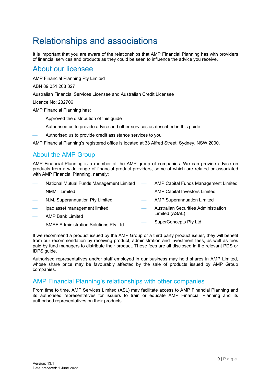# Relationships and associations

It is important that you are aware of the relationships that AMP Financial Planning has with providers of financial services and products as they could be seen to influence the advice you receive.

### About our licensee

AMP Financial Planning Pty Limited

ABN 89 051 208 327

Australian Financial Services Licensee and Australian Credit Licensee

Licence No: 232706

AMP Financial Planning has:

- Approved the distribution of this guide
- Authorised us to provide advice and other services as described in this guide
- Authorised us to provide credit assistance services to you

AMP Financial Planning's registered office is located at 33 Alfred Street, Sydney, NSW 2000.

### About the AMP Group

AMP Financial Planning is a member of the AMP group of companies. We can provide advice on products from a wide range of financial product providers, some of which are related or associated with AMP Financial Planning, namely:

| $\overline{\phantom{0}}$ | National Mutual Funds Management Limited — AMP Capital Funds Management Limited |                                 |                                             |
|--------------------------|---------------------------------------------------------------------------------|---------------------------------|---------------------------------------------|
| $\overline{\phantom{a}}$ | <b>NMMT Limited</b>                                                             | $\frac{1}{2}$ and $\frac{1}{2}$ | <b>AMP Capital Investors Limited</b>        |
| $\overline{\phantom{a}}$ | N.M. Superannuation Pty Limited                                                 |                                 | - AMP Superannuation Limited                |
|                          | ipac asset management limited                                                   |                                 | <b>Australian Securities Administration</b> |
| $\overline{\phantom{0}}$ | <b>AMP Bank Limited</b>                                                         |                                 | Limited (ASAL)                              |
|                          |                                                                                 |                                 | SuperConcepts Dty Ltd                       |

- SMSF Administration Solutions Pty Ltd
- SuperConcepts Pty Ltd

If we recommend a product issued by the AMP Group or a third party product issuer, they will benefit from our recommendation by receiving product, administration and investment fees, as well as fees paid by fund managers to distribute their product. These fees are all disclosed in the relevant PDS or IDPS guide.

Authorised representatives and/or staff employed in our business may hold shares in AMP Limited, whose share price may be favourably affected by the sale of products issued by AMP Group companies.

### AMP Financial Planning's relationships with other companies

From time to time, AMP Services Limited (ASL) may facilitate access to AMP Financial Planning and its authorised representatives for issuers to train or educate AMP Financial Planning and its authorised representatives on their products.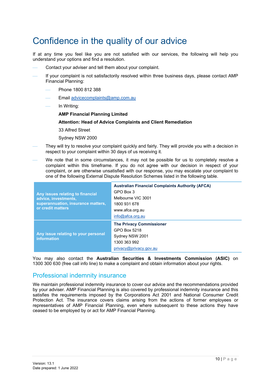# Confidence in the quality of our advice

If at any time you feel like you are not satisfied with our services, the following will help you understand your options and find a resolution.

- Contact your adviser and tell them about your complaint.
- If your complaint is not satisfactorily resolved within three business days, please contact AMP Financial Planning:
	- Phone 1800 812 388
	- Email [advicecomplaints@amp.com.au](mailto:advicecomplaints@amp.com.au)
	- In Writing:
		- **AMP Financial Planning Limited**

#### **Attention: Head of Advice Complaints and Client Remediation**

- 33 Alfred Street
- Sydney NSW 2000
- They will try to resolve your complaint quickly and fairly. They will provide you with a decision in respect to your complaint within 30 days of us receiving it.
- We note that in some circumstances, it may not be possible for us to completely resolve a complaint within this timeframe. If you do not agree with our decision in respect of your complaint, or are otherwise unsatisfied with our response, you may escalate your complaint to one of the following External Dispute Resolution Schemes listed in the following table.

| Any issues relating to financial<br>advice, investments,<br>superannuation, insurance matters,<br>or credit matters | <b>Australian Financial Complaints Authority (AFCA)</b><br>GPO Box 3<br>Melbourne VIC 3001<br>1800 931 678<br>www.afca.org.au<br>info@afca.org.au |
|---------------------------------------------------------------------------------------------------------------------|---------------------------------------------------------------------------------------------------------------------------------------------------|
| Any issue relating to your personal<br>information                                                                  | <b>The Privacy Commissioner</b><br>GPO Box 5218<br>Sydney NSW 2001<br>1300 363 992<br>privacy@privacy.gov.au                                      |

You may also contact the **Australian Securities & Investments Commission (ASIC)** on 1300 300 630 (free call info line) to make a complaint and obtain information about your rights.

### Professional indemnity insurance

We maintain professional indemnity insurance to cover our advice and the recommendations provided by your adviser. AMP Financial Planning is also covered by professional indemnity insurance and this satisfies the requirements imposed by the Corporations Act 2001 and National Consumer Credit Protection Act. The insurance covers claims arising from the actions of former employees or representatives of AMP Financial Planning, even where subsequent to these actions they have ceased to be employed by or act for AMP Financial Planning.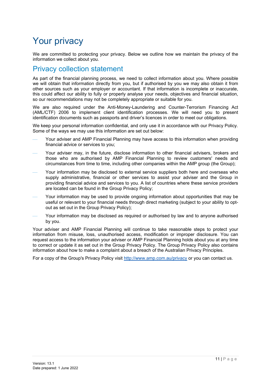# Your privacy

We are committed to protecting your privacy. Below we outline how we maintain the privacy of the information we collect about you.

## Privacy collection statement

As part of the financial planning process, we need to collect information about you. Where possible we will obtain that information directly from you, but if authorised by you we may also obtain it from other sources such as your employer or accountant. If that information is incomplete or inaccurate, this could affect our ability to fully or properly analyse your needs, objectives and financial situation, so our recommendations may not be completely appropriate or suitable for you.

We are also required under the Anti-Money-Laundering and Counter-Terrorism Financing Act (AML/CTF) 2006 to implement client identification processes. We will need you to present identification documents such as passports and driver's licences in order to meet our obligations.

We keep your personal information confidential, and only use it in accordance with our Privacy Policy. Some of the ways we may use this information are set out below:

- Your adviser and AMP Financial Planning may have access to this information when providing financial advice or services to you;
- Your adviser may, in the future, disclose information to other financial advisers, brokers and those who are authorised by AMP Financial Planning to review customers' needs and circumstances from time to time, including other companies within the AMP group (the Group);
- Your information may be disclosed to external service suppliers both here and overseas who supply administrative, financial or other services to assist your adviser and the Group in providing financial advice and services to you. A list of countries where these service providers are located can be found in the Group Privacy Policy;
- Your information may be used to provide ongoing information about opportunities that may be useful or relevant to your financial needs through direct marketing (subject to your ability to optout as set out in the Group Privacy Policy);
- Your information may be disclosed as required or authorised by law and to anyone authorised by you.

Your adviser and AMP Financial Planning will continue to take reasonable steps to protect your information from misuse, loss, unauthorised access, modification or improper disclosure. You can request access to the information your adviser or AMP Financial Planning holds about you at any time to correct or update it as set out in the Group Privacy Policy. The Group Privacy Policy also contains information about how to make a complaint about a breach of the Australian Privacy Principles.

For a copy of the Group's Privacy Policy visit<http://www.amp.com.au/privacy> or you can contact us.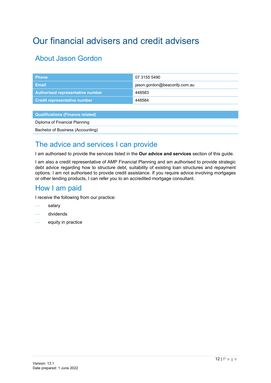# <span id="page-11-0"></span>Our financial advisers and credit advisers

## About Jason Gordon

| <b>Phone</b>                            | 07 3155 5490                 |
|-----------------------------------------|------------------------------|
| <b>Email</b>                            | jason.gordon@beaconfp.com.au |
| Authorised representative number        | 448583                       |
| <b>Credit representative number</b>     | 448584                       |
|                                         |                              |
| <b>Qualifications (Finance related)</b> |                              |
| Diploma of Financial Planning           |                              |
|                                         |                              |

# Bachelor of Business (Accounting)

## The advice and services I can provide

I am authorised to provide the services listed in the **Our advice and services** section of this guide.

I am also a credit representative of AMP Financial Planning and am authorised to provide strategic debt advice regarding how to structure debt, suitability of existing loan structures and repayment options. I am not authorised to provide credit assistance. If you require advice involving mortgages or other lending products, I can refer you to an accredited mortgage consultant.

## How I am paid

I receive the following from our practice:

- salary
- dividends
- equity in practice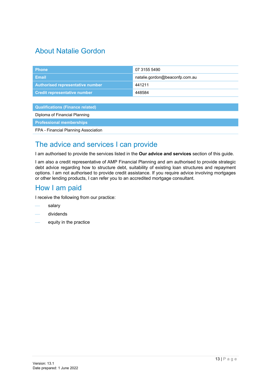## About Natalie Gordon

| <b>Phone</b>                            | 07 3155 5490                   |
|-----------------------------------------|--------------------------------|
| <b>Email</b>                            | natalie.gordon@beaconfp.com.au |
| Authorised representative number        | 441211                         |
| <b>Credit representative number</b>     | 448584                         |
|                                         |                                |
| <b>Qualifications (Finance related)</b> |                                |
| Diploma of Financial Planning           |                                |
| <b>Professional memberships</b>         |                                |

FPA - Financial Planning Association

## The advice and services I can provide

I am authorised to provide the services listed in the **Our advice and services** section of this guide.

I am also a credit representative of AMP Financial Planning and am authorised to provide strategic debt advice regarding how to structure debt, suitability of existing loan structures and repayment options. I am not authorised to provide credit assistance. If you require advice involving mortgages or other lending products, I can refer you to an accredited mortgage consultant.

## How I am paid

I receive the following from our practice:

- salary
- dividends
- equity in the practice